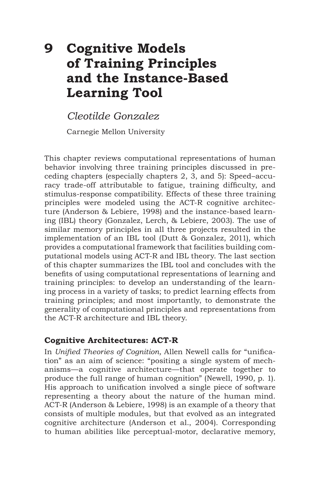# **9 Cognitive Models of Training Principles and the Instance-Based Learning Tool**

*Cleotilde Gonzalez*

Carnegie Mellon University

This chapter reviews computational representations of human behavior involving three training principles discussed in preceding chapters (especially chapters 2, 3, and 5): Speed–accuracy trade-off attributable to fatigue, training difficulty, and stimulus-response compatibility. Effects of these three training principles were modeled using the ACT-R cognitive architecture (Anderson & Lebiere, 1998) and the instance-based learning (IBL) theory (Gonzalez, Lerch, & Lebiere, 2003). The use of similar memory principles in all three projects resulted in the implementation of an IBL tool (Dutt & Gonzalez, 2011), which provides a computational framework that facilities building computational models using ACT-R and IBL theory. The last section of this chapter summarizes the IBL tool and concludes with the benefits of using computational representations of learning and training principles: to develop an understanding of the learning process in a variety of tasks; to predict learning effects from training principles; and most importantly, to demonstrate the generality of computational principles and representations from the ACT-R architecture and IBL theory.

## **Cognitive Architectures: ACT-R**

In *Unified Theories of Cognition*, Allen Newell calls for "unification" as an aim of science: "positing a single system of mechanisms—a cognitive architecture—that operate together to produce the full range of human cognition" (Newell, 1990, p. 1). His approach to unification involved a single piece of software representing a theory about the nature of the human mind. ACT-R (Anderson & Lebiere, 1998) is an example of a theory that consists of multiple modules, but that evolved as an integrated cognitive architecture (Anderson et al., 2004). Corresponding to human abilities like perceptual-motor, declarative memory,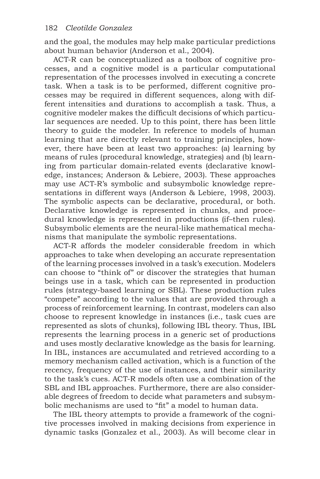and the goal, the modules may help make particular predictions about human behavior (Anderson et al., 2004).

ACT-R can be conceptualized as a toolbox of cognitive processes, and a cognitive model is a particular computational representation of the processes involved in executing a concrete task. When a task is to be performed, different cognitive processes may be required in different sequences, along with different intensities and durations to accomplish a task. Thus, a cognitive modeler makes the difficult decisions of which particular sequences are needed. Up to this point, there has been little theory to guide the modeler. In reference to models of human learning that are directly relevant to training principles, however, there have been at least two approaches: (a) learning by means of rules (procedural knowledge, strategies) and (b) learning from particular domain-related events (declarative knowledge, instances; Anderson & Lebiere, 2003). These approaches may use ACT-R's symbolic and subsymbolic knowledge representations in different ways (Anderson & Lebiere, 1998, 2003). The symbolic aspects can be declarative, procedural, or both. Declarative knowledge is represented in chunks, and procedural knowledge is represented in productions (if–then rules). Subsymbolic elements are the neural-like mathematical mechanisms that manipulate the symbolic representations.

ACT-R affords the modeler considerable freedom in which approaches to take when developing an accurate representation of the learning processes involved in a task's execution. Modelers can choose to "think of" or discover the strategies that human beings use in a task, which can be represented in production rules (strategy-based learning or SBL). These production rules "compete" according to the values that are provided through a process of reinforcement learning. In contrast, modelers can also choose to represent knowledge in instances (i.e., task cues are represented as slots of chunks), following IBL theory. Thus, IBL represents the learning process in a generic set of productions and uses mostly declarative knowledge as the basis for learning. In IBL, instances are accumulated and retrieved according to a memory mechanism called activation, which is a function of the recency, frequency of the use of instances, and their similarity to the task's cues. ACT-R models often use a combination of the SBL and IBL approaches. Furthermore, there are also considerable degrees of freedom to decide what parameters and subsymbolic mechanisms are used to "fit" a model to human data.

The IBL theory attempts to provide a framework of the cognitive processes involved in making decisions from experience in dynamic tasks (Gonzalez et al., 2003). As will become clear in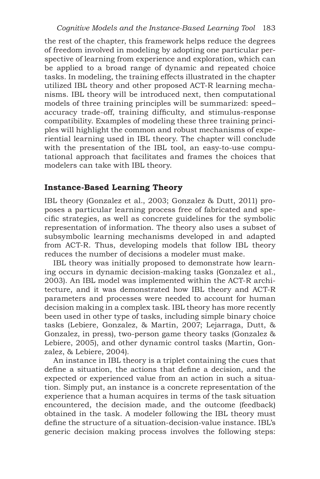the rest of the chapter, this framework helps reduce the degrees of freedom involved in modeling by adopting one particular perspective of learning from experience and exploration, which can be applied to a broad range of dynamic and repeated choice tasks. In modeling, the training effects illustrated in the chapter utilized IBL theory and other proposed ACT-R learning mechanisms. IBL theory will be introduced next, then computational models of three training principles will be summarized: speed– accuracy trade-off, training difficulty, and stimulus-response compatibility. Examples of modeling these three training principles will highlight the common and robust mechanisms of experiential learning used in IBL theory. The chapter will conclude with the presentation of the IBL tool, an easy-to-use computational approach that facilitates and frames the choices that modelers can take with IBL theory.

#### **Instance-Based Learning Theory**

IBL theory (Gonzalez et al., 2003; Gonzalez & Dutt, 2011) proposes a particular learning process free of fabricated and specific strategies, as well as concrete guidelines for the symbolic representation of information. The theory also uses a subset of subsymbolic learning mechanisms developed in and adapted from ACT-R. Thus, developing models that follow IBL theory reduces the number of decisions a modeler must make.

IBL theory was initially proposed to demonstrate how learning occurs in dynamic decision-making tasks (Gonzalez et al., 2003). An IBL model was implemented within the ACT-R architecture, and it was demonstrated how IBL theory and ACT-R parameters and processes were needed to account for human decision making in a complex task. IBL theory has more recently been used in other type of tasks, including simple binary choice tasks (Lebiere, Gonzalez, & Martin, 2007; Lejarraga, Dutt, & Gonzalez, in press), two-person game theory tasks (Gonzalez & Lebiere, 2005), and other dynamic control tasks (Martin, Gonzalez, & Lebiere, 2004).

An instance in IBL theory is a triplet containing the cues that define a situation, the actions that define a decision, and the expected or experienced value from an action in such a situation. Simply put, an instance is a concrete representation of the experience that a human acquires in terms of the task situation encountered, the decision made, and the outcome (feedback) obtained in the task. A modeler following the IBL theory must define the structure of a situation-decision-value instance. IBL's generic decision making process involves the following steps: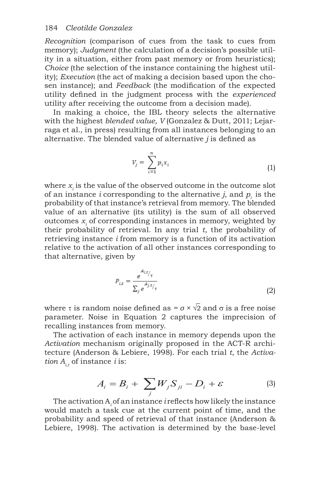*Recognition* (comparison of cues from the task to cues from memory); *Judgment* (the calculation of a decision's possible utility in a situation, either from past memory or from heuristics); *Choice* (the selection of the instance containing the highest utility); *Execution* (the act of making a decision based upon the chosen instance); and *Feedback* (the modification of the expected utility defined in the judgment process with the *experienced* utility after receiving the outcome from a decision made).

In making a choice, the IBL theory selects the alternative with the highest *blended value, V* (Gonzalez & Dutt, 2011; Lejarraga et al., in press) resulting from all instances belonging to an alternative. The blended value of alternative *j* is defined as

$$
V_j = \sum_{i=1}^n p_i x_i \tag{1}
$$

where  $x_i$  is the value of the observed outcome in the outcome slot of an instance *i* corresponding to the alternative *j*, and *pi* is the probability of that instance's retrieval from memory. The blended value of an alternative (its utility) is the sum of all observed outcomes  $x_i$  of corresponding instances in memory, weighted by their probability of retrieval*.* In any trial *t*, the probability of retrieving instance *i* from memory is a function of its activation relative to the activation of all other instances corresponding to that alternative, given by

$$
P_{i,t} = \frac{e^{A_{i,t}}/r}{\sum_{j} e^{A_{j,t}}/r}
$$
\n
$$
(2)
$$

where τ is random noise defined as  $= \sigma \times \sqrt{2}$  and  $\sigma$  is a free noise parameter. Noise in Equation 2 captures the imprecision of recalling instances from memory.

The activation of each instance in memory depends upon the *Activation* mechanism originally proposed in the ACT-R architecture (Anderson & Lebiere, 1998). For each trial *t*, the *Activation*  $A_{i,t}$  of instance *i* is:

$$
A_i = B_i + \sum_j W_j S_{ji} - D_i + \varepsilon \tag{3}
$$

The activation  $A_i$  of an instance *i* reflects how likely the instance would match a task cue at the current point of time, and the probability and speed of retrieval of that instance (Anderson & Lebiere, 1998). The activation is determined by the base-level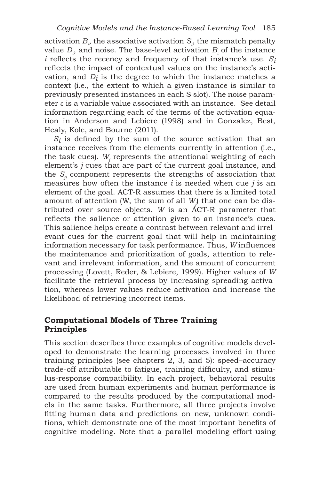activation  $B_i$ , the associative activation  $S_i$ , the mismatch penalty value  $D_i$ , and noise. The base-level activation  $B_i$  of the instance  $i$  reflects the recency and frequency of that instance's use.  $S_i$ reflects the impact of contextual values on the instance's activation, and *Di* is the degree to which the instance matches a context (i.e., the extent to which a given instance is similar to previously presented instances in each S slot). The noise parameter is a variable value associated with an instance. See detail information regarding each of the terms of the activation equation in Anderson and Lebiere (1998) and in Gonzalez, Best, Healy, Kole, and Bourne (2011).

 $S_i$  is defined by the sum of the source activation that an instance receives from the elements currently in attention (i.e., the task cues).  $W_i$  represents the attentional weighting of each element's *j* cues that are part of the current goal instance, and the  $S<sub>ii</sub>$  component represents the strengths of association that measures how often the instance *i* is needed when cue *j* is an element of the goal. ACT-R assumes that there is a limited total amount of attention (W, the sum of all *Wj* ) that one can be distributed over source objects. *W* is an ACT-R parameter that reflects the salience or attention given to an instance's cues. This salience helps create a contrast between relevant and irrelevant cues for the current goal that will help in maintaining information necessary for task performance. Thus, *W* influences the maintenance and prioritization of goals, attention to relevant and irrelevant information, and the amount of concurrent processing (Lovett, Reder, & Lebiere, 1999). Higher values of *W* facilitate the retrieval process by increasing spreading activation, whereas lower values reduce activation and increase the likelihood of retrieving incorrect items.

#### **Computational Models of Three Training Principles**

This section describes three examples of cognitive models developed to demonstrate the learning processes involved in three training principles (see chapters 2, 3, and 5): speed–accuracy trade-off attributable to fatigue, training difficulty, and stimulus-response compatibility. In each project, behavioral results are used from human experiments and human performance is compared to the results produced by the computational models in the same tasks. Furthermore, all three projects involve fitting human data and predictions on new, unknown conditions, which demonstrate one of the most important benefits of cognitive modeling. Note that a parallel modeling effort using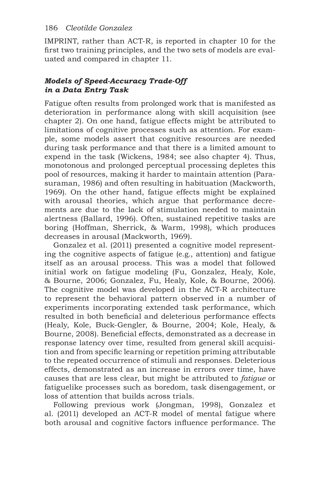IMPRINT, rather than ACT-R, is reported in chapter 10 for the first two training principles, and the two sets of models are evaluated and compared in chapter 11.

## *Models of Speed-Accuracy Trade-Off in a Data Entry Task*

Fatigue often results from prolonged work that is manifested as deterioration in performance along with skill acquisition (see chapter 2). On one hand, fatigue effects might be attributed to limitations of cognitive processes such as attention. For example, some models assert that cognitive resources are needed during task performance and that there is a limited amount to expend in the task (Wickens, 1984; see also chapter 4). Thus, monotonous and prolonged perceptual processing depletes this pool of resources, making it harder to maintain attention (Parasuraman, 1986) and often resulting in habituation (Mackworth, 1969). On the other hand, fatigue effects might be explained with arousal theories, which argue that performance decrements are due to the lack of stimulation needed to maintain alertness (Ballard, 1996). Often, sustained repetitive tasks are boring (Hoffman, Sherrick, & Warm, 1998), which produces decreases in arousal (Mackworth, 1969).

Gonzalez et al. (2011) presented a cognitive model representing the cognitive aspects of fatigue (e.g., attention) and fatigue itself as an arousal process. This was a model that followed initial work on fatigue modeling (Fu, Gonzalez, Healy, Kole, & Bourne, 2006; Gonzalez, Fu, Healy, Kole, & Bourne, 2006). The cognitive model was developed in the ACT-R architecture to represent the behavioral pattern observed in a number of experiments incorporating extended task performance, which resulted in both beneficial and deleterious performance effects (Healy, Kole, Buck-Gengler, & Bourne, 2004; Kole, Healy, & Bourne, 2008). Beneficial effects, demonstrated as a decrease in response latency over time, resulted from general skill acquisition and from specific learning or repetition priming attributable to the repeated occurrence of stimuli and responses. Deleterious effects, demonstrated as an increase in errors over time, have causes that are less clear, but might be attributed to *fatigue* or fatiguelike processes such as boredom, task disengagement, or loss of attention that builds across trials.

Following previous work (Jongman, 1998), Gonzalez et al. (2011) developed an ACT-R model of mental fatigue where both arousal and cognitive factors influence performance. The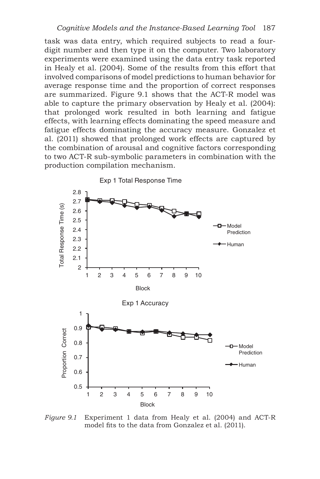task was data entry, which required subjects to read a fourdigit number and then type it on the computer. Two laboratory experiments were examined using the data entry task reported in Healy et al. (2004). Some of the results from this effort that involved comparisons of model predictions to human behavior for average response time and the proportion of correct responses are summarized. Figure 9.1 shows that the ACT-R model was able to capture the primary observation by Healy et al. (2004): that prolonged work resulted in both learning and fatigue effects, with learning effects dominating the speed measure and fatigue effects dominating the accuracy measure. Gonzalez et al. (2011) showed that prolonged work effects are captured by the combination of arousal and cognitive factors corresponding to two ACT-R sub-symbolic parameters in combination with the production compilation mechanism.



*Figure 9.1* Experiment 1 data from Healy et al. (2004) and ACT-R model fits to the data from Gonzalez et al. (2011).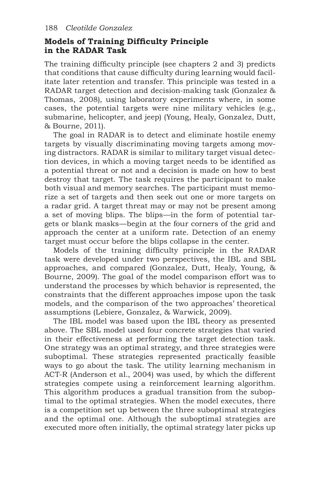## **Models of Training Difficulty Principle in the RADAR Task**

The training difficulty principle (see chapters 2 and 3) predicts that conditions that cause difficulty during learning would facilitate later retention and transfer. This principle was tested in a RADAR target detection and decision-making task (Gonzalez & Thomas, 2008), using laboratory experiments where, in some cases, the potential targets were nine military vehicles (e.g., submarine, helicopter, and jeep) (Young, Healy, Gonzalez, Dutt, & Bourne, 2011).

The goal in RADAR is to detect and eliminate hostile enemy targets by visually discriminating moving targets among moving distractors. RADAR is similar to military target visual detection devices, in which a moving target needs to be identified as a potential threat or not and a decision is made on how to best destroy that target. The task requires the participant to make both visual and memory searches. The participant must memorize a set of targets and then seek out one or more targets on a radar grid. A target threat may or may not be present among a set of moving blips. The blips—in the form of potential targets or blank masks—begin at the four corners of the grid and approach the center at a uniform rate. Detection of an enemy target must occur before the blips collapse in the center.

Models of the training difficulty principle in the RADAR task were developed under two perspectives, the IBL and SBL approaches, and compared (Gonzalez, Dutt, Healy, Young, & Bourne, 2009). The goal of the model comparison effort was to understand the processes by which behavior is represented, the constraints that the different approaches impose upon the task models, and the comparison of the two approaches' theoretical assumptions (Lebiere, Gonzalez, & Warwick, 2009).

The IBL model was based upon the IBL theory as presented above. The SBL model used four concrete strategies that varied in their effectiveness at performing the target detection task. One strategy was an optimal strategy, and three strategies were suboptimal. These strategies represented practically feasible ways to go about the task. The utility learning mechanism in ACT-R (Anderson et al., 2004) was used, by which the different strategies compete using a reinforcement learning algorithm. This algorithm produces a gradual transition from the suboptimal to the optimal strategies. When the model executes, there is a competition set up between the three suboptimal strategies and the optimal one. Although the suboptimal strategies are executed more often initially, the optimal strategy later picks up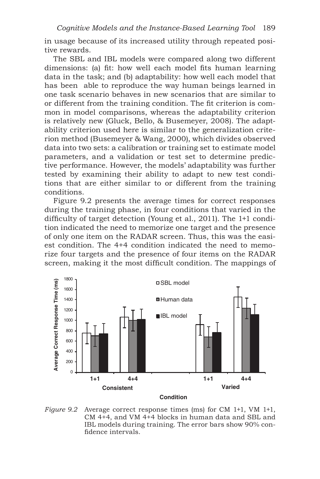in usage because of its increased utility through repeated positive rewards.

The SBL and IBL models were compared along two different dimensions: (a) fit: how well each model fits human learning data in the task; and (b) adaptability: how well each model that has been able to reproduce the way human beings learned in one task scenario behaves in new scenarios that are similar to or different from the training condition. The fit criterion is common in model comparisons, whereas the adaptability criterion is relatively new (Gluck, Bello, & Busemeyer, 2008). The adaptability criterion used here is similar to the generalization criterion method (Busemeyer & Wang, 2000), which divides observed data into two sets: a calibration or training set to estimate model parameters, and a validation or test set to determine predictive performance. However, the models' adaptability was further tested by examining their ability to adapt to new test conditions that are either similar to or different from the training conditions.

Figure 9.2 presents the average times for correct responses during the training phase, in four conditions that varied in the difficulty of target detection (Young et al., 2011). The 1+1 condition indicated the need to memorize one target and the presence of only one item on the RADAR screen. Thus, this was the easiest condition. The 4+4 condition indicated the need to memorize four targets and the presence of four items on the RADAR screen, making it the most difficult condition. The mappings of



*Figure 9.2* Average correct response times (ms) for CM 1+1, VM 1+1, CM 4+4, and VM 4+4 blocks in human data and SBL and IBL models during training. The error bars show 90% confidence intervals.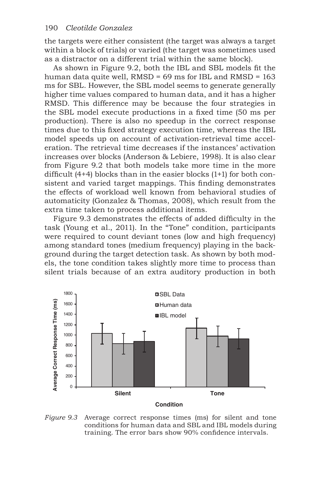the targets were either consistent (the target was always a target within a block of trials) or varied (the target was sometimes used as a distractor on a different trial within the same block).

As shown in Figure 9.2, both the IBL and SBL models fit the human data quite well, RMSD = 69 ms for IBL and RMSD = 163 ms for SBL. However, the SBL model seems to generate generally higher time values compared to human data, and it has a higher RMSD. This difference may be because the four strategies in the SBL model execute productions in a fixed time (50 ms per production). There is also no speedup in the correct response times due to this fixed strategy execution time, whereas the IBL model speeds up on account of activation-retrieval time acceleration. The retrieval time decreases if the instances' activation increases over blocks (Anderson & Lebiere, 1998). It is also clear from Figure 9.2 that both models take more time in the more difficult  $(4+4)$  blocks than in the easier blocks  $(1+1)$  for both consistent and varied target mappings. This finding demonstrates the effects of workload well known from behavioral studies of automaticity (Gonzalez & Thomas, 2008), which result from the extra time taken to process additional items.

Figure 9.3 demonstrates the effects of added difficulty in the task (Young et al., 2011). In the "Tone" condition, participants were required to count deviant tones (low and high frequency) among standard tones (medium frequency) playing in the background during the target detection task. As shown by both models, the tone condition takes slightly more time to process than silent trials because of an extra auditory production in both



*Figure 9.3* Average correct response times (ms) for silent and tone conditions for human data and SBL and IBL models during training. The error bars show 90% confidence intervals.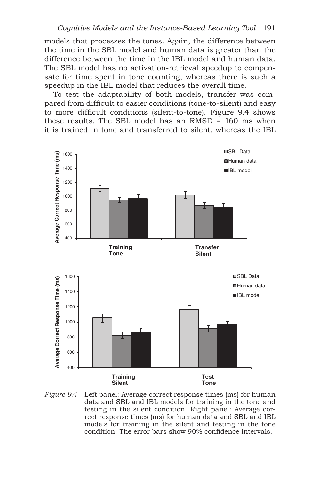models that processes the tones. Again, the difference between the time in the SBL model and human data is greater than the difference between the time in the IBL model and human data. The SBL model has no activation-retrieval speedup to compensate for time spent in tone counting, whereas there is such a speedup in the IBL model that reduces the overall time.

To test the adaptability of both models, transfer was compared from difficult to easier conditions (tone-to-silent) and easy to more difficult conditions (silent-to-tone). Figure 9.4 shows these results. The SBL model has an RMSD = 160 ms when it is trained in tone and transferred to silent, whereas the IBL



*Figure 9.4* Left panel: Average correct response times (ms) for human data and SBL and IBL models for training in the tone and testing in the silent condition. Right panel: Average correct response times (ms) for human data and SBL and IBL models for training in the silent and testing in the tone condition. The error bars show 90% confidence intervals.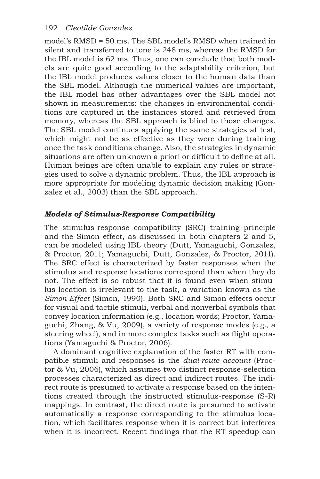model's RMSD = 50 ms. The SBL model's RMSD when trained in silent and transferred to tone is 248 ms, whereas the RMSD for the IBL model is 62 ms. Thus, one can conclude that both models are quite good according to the adaptability criterion, but the IBL model produces values closer to the human data than the SBL model. Although the numerical values are important, the IBL model has other advantages over the SBL model not shown in measurements: the changes in environmental conditions are captured in the instances stored and retrieved from memory, whereas the SBL approach is blind to those changes. The SBL model continues applying the same strategies at test, which might not be as effective as they were during training once the task conditions change. Also, the strategies in dynamic situations are often unknown a priori or difficult to define at all. Human beings are often unable to explain any rules or strategies used to solve a dynamic problem. Thus, the IBL approach is more appropriate for modeling dynamic decision making (Gonzalez et al., 2003) than the SBL approach.

## *Models of Stimulus-Response Compatibility*

The stimulus-response compatibility (SRC) training principle and the Simon effect, as discussed in both chapters 2 and 5, can be modeled using IBL theory (Dutt, Yamaguchi, Gonzalez, & Proctor, 2011; Yamaguchi, Dutt, Gonzalez, & Proctor, 2011). The SRC effect is characterized by faster responses when the stimulus and response locations correspond than when they do not. The effect is so robust that it is found even when stimulus location is irrelevant to the task, a variation known as the *Simon Effect* (Simon, 1990). Both SRC and Simon effects occur for visual and tactile stimuli, verbal and nonverbal symbols that convey location information (e.g., location words; Proctor, Yamaguchi, Zhang, & Vu, 2009), a variety of response modes (e.g., a steering wheel), and in more complex tasks such as flight operations (Yamaguchi & Proctor, 2006).

A dominant cognitive explanation of the faster RT with compatible stimuli and responses is the *dual-route account* (Proctor & Vu, 2006), which assumes two distinct response-selection processes characterized as direct and indirect routes. The indirect route is presumed to activate a response based on the intentions created through the instructed stimulus-response (S-R) mappings. In contrast, the direct route is presumed to activate automatically a response corresponding to the stimulus location, which facilitates response when it is correct but interferes when it is incorrect. Recent findings that the RT speedup can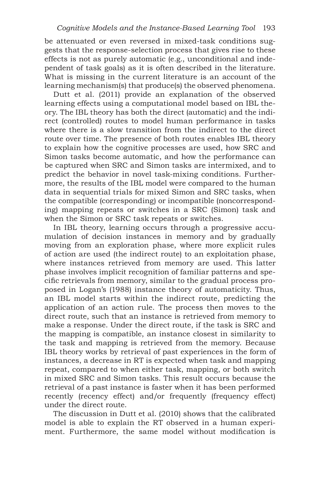be attenuated or even reversed in mixed-task conditions suggests that the response-selection process that gives rise to these effects is not as purely automatic (e.g., unconditional and independent of task goals) as it is often described in the literature. What is missing in the current literature is an account of the learning mechanism(s) that produce(s) the observed phenomena.

Dutt et al. (2011) provide an explanation of the observed learning effects using a computational model based on IBL theory. The IBL theory has both the direct (automatic) and the indirect (controlled) routes to model human performance in tasks where there is a slow transition from the indirect to the direct route over time. The presence of both routes enables IBL theory to explain how the cognitive processes are used, how SRC and Simon tasks become automatic, and how the performance can be captured when SRC and Simon tasks are intermixed, and to predict the behavior in novel task-mixing conditions. Furthermore, the results of the IBL model were compared to the human data in sequential trials for mixed Simon and SRC tasks, when the compatible (corresponding) or incompatible (noncorresponding) mapping repeats or switches in a SRC (Simon) task and when the Simon or SRC task repeats or switches.

In IBL theory, learning occurs through a progressive accumulation of decision instances in memory and by gradually moving from an exploration phase, where more explicit rules of action are used (the indirect route) to an exploitation phase, where instances retrieved from memory are used. This latter phase involves implicit recognition of familiar patterns and specific retrievals from memory, similar to the gradual process proposed in Logan's (1988) instance theory of automaticity. Thus, an IBL model starts within the indirect route, predicting the application of an action rule. The process then moves to the direct route, such that an instance is retrieved from memory to make a response. Under the direct route, if the task is SRC and the mapping is compatible, an instance closest in similarity to the task and mapping is retrieved from the memory. Because IBL theory works by retrieval of past experiences in the form of instances, a decrease in RT is expected when task and mapping repeat, compared to when either task, mapping, or both switch in mixed SRC and Simon tasks. This result occurs because the retrieval of a past instance is faster when it has been performed recently (recency effect) and/or frequently (frequency effect) under the direct route.

The discussion in Dutt et al. (2010) shows that the calibrated model is able to explain the RT observed in a human experiment. Furthermore, the same model without modification is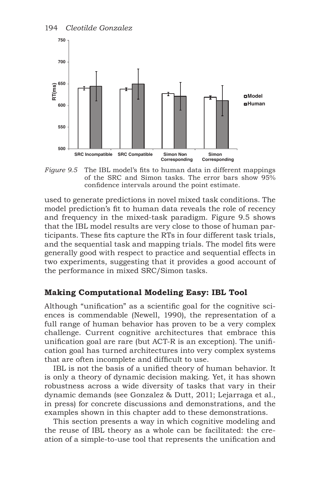

*Figure 9.5* The IBL model's fits to human data in different mappings of the SRC and Simon tasks. The error bars show 95% confidence intervals around the point estimate.

used to generate predictions in novel mixed task conditions. The model prediction's fit to human data reveals the role of recency and frequency in the mixed-task paradigm. Figure 9.5 shows that the IBL model results are very close to those of human participants. These fits capture the RTs in four different task trials, and the sequential task and mapping trials. The model fits were generally good with respect to practice and sequential effects in two experiments, suggesting that it provides a good account of the performance in mixed SRC/Simon tasks.

## **Making Computational Modeling Easy: IBL Tool**

Although "unification" as a scientific goal for the cognitive sciences is commendable (Newell, 1990), the representation of a full range of human behavior has proven to be a very complex challenge. Current cognitive architectures that embrace this unification goal are rare (but ACT-R is an exception). The unification goal has turned architectures into very complex systems that are often incomplete and difficult to use.

IBL is not the basis of a unified theory of human behavior. It is only a theory of dynamic decision making. Yet, it has shown robustness across a wide diversity of tasks that vary in their dynamic demands (see Gonzalez & Dutt, 2011; Lejarraga et al., in press) for concrete discussions and demonstrations, and the examples shown in this chapter add to these demonstrations.

This section presents a way in which cognitive modeling and the reuse of IBL theory as a whole can be facilitated: the creation of a simple-to-use tool that represents the unification and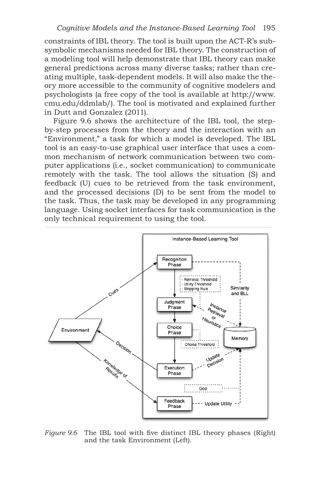constraints of IBL theory. The tool is built upon the ACT-R's subsymbolic mechanisms needed for IBL theory. The construction of a modeling tool will help demonstrate that IBL theory can make general predictions across many diverse tasks; rather than creating multiple, task-dependent models. It will also make the theory more accessible to the community of cognitive modelers and psychologists (a free copy of the tool is available at http://www. cmu.edu/ddmlab/). The tool is motivated and explained further in Dutt and Gonzalez (2011).

Figure 9.6 shows the architecture of the IBL tool, the stepby-step processes from the theory and the interaction with an "Environment," a task for which a model is developed. The IBL tool is an easy-to-use graphical user interface that uses a common mechanism of network communication between two computer applications (i.e., socket communication) to communicate remotely with the task. The tool allows the situation (S) and feedback (U) cues to be retrieved from the task environment, and the processed decisions (D) to be sent from the model to the task. Thus, the task may be developed in any programming language. Using socket interfaces for task communication is the only technical requirement to using the tool.



*Figure* 9.6 The IBL tool with five distinct IBL theory phases (Right) and the task Environment (Left).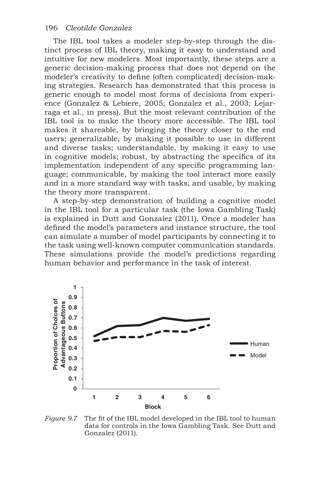The IBL tool takes a modeler step-by-step through the distinct process of IBL theory, making it easy to understand and intuitive for new modelers. Most importantly, these steps are a generic decision-making process that does not depend on the modeler's creativity to define (often complicated) decision-making strategies. Research has demonstrated that this process is generic enough to model most forms of decisions from experience (Gonzalez & Lebiere, 2005; Gonzalez et al., 2003; Lejarraga et al., in press). But the most relevant contribution of the IBL tool is to make the theory more accessible. The IBL tool makes it shareable, by bringing the theory closer to the end users; generalizable, by making it possible to use in different and diverse tasks; understandable, by making it easy to use in cognitive models; robust, by abstracting the specifics of its implementation independent of any specific programming language; communicable, by making the tool interact more easily and in a more standard way with tasks; and usable, by making the theory more transparent.

A step-by-step demonstration of building a cognitive model in the IBL tool for a particular task (the Iowa Gambling Task) is explained in Dutt and Gonzalez (2011). Once a modeler has defined the model's parameters and instance structure, the tool can simulate a number of model participants by connecting it to the task using well-known computer communication standards. These simulations provide the model's predictions regarding human behavior and performance in the task of interest.



*Figure 9.7* The fit of the IBL model developed in the IBL tool to human data for controls in the Iowa Gambling Task. See Dutt and Gonzalez (2011).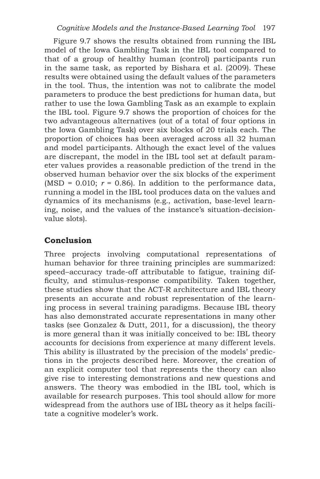Figure 9.7 shows the results obtained from running the IBL model of the Iowa Gambling Task in the IBL tool compared to that of a group of healthy human (control) participants run in the same task, as reported by Bishara et al. (2009). These results were obtained using the default values of the parameters in the tool. Thus, the intention was not to calibrate the model parameters to produce the best predictions for human data, but rather to use the Iowa Gambling Task as an example to explain the IBL tool. Figure 9.7 shows the proportion of choices for the two advantageous alternatives (out of a total of four options in the Iowa Gambling Task) over six blocks of 20 trials each. The proportion of choices has been averaged across all 32 human and model participants. Although the exact level of the values are discrepant, the model in the IBL tool set at default parameter values provides a reasonable prediction of the trend in the observed human behavior over the six blocks of the experiment (MSD =  $0.010$ ;  $r = 0.86$ ). In addition to the performance data, running a model in the IBL tool produces data on the values and dynamics of its mechanisms (e.g., activation, base-level learning, noise, and the values of the instance's situation-decisionvalue slots).

# **Conclusion**

Three projects involving computational representations of human behavior for three training principles are summarized: speed–accuracy trade-off attributable to fatigue, training difficulty, and stimulus-response compatibility. Taken together, these studies show that the ACT-R architecture and IBL theory presents an accurate and robust representation of the learning process in several training paradigms. Because IBL theory has also demonstrated accurate representations in many other tasks (see Gonzalez & Dutt, 2011, for a discussion), the theory is more general than it was initially conceived to be: IBL theory accounts for decisions from experience at many different levels. This ability is illustrated by the precision of the models' predictions in the projects described here. Moreover, the creation of an explicit computer tool that represents the theory can also give rise to interesting demonstrations and new questions and answers. The theory was embodied in the IBL tool, which is available for research purposes. This tool should allow for more widespread from the authors use of IBL theory as it helps facilitate a cognitive modeler's work.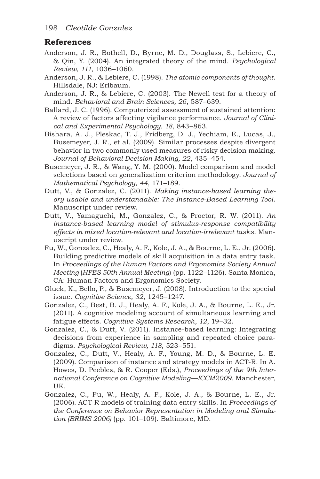## **References**

- Anderson, J. R., Bothell, D., Byrne, M. D., Douglass, S., Lebiere, C., & Qin, Y. (2004). An integrated theory of the mind. *Psychological Review, 111*, 1036–1060.
- Anderson, J. R., & Lebiere, C. (1998). *The atomic components of thought*. Hillsdale, NJ: Erlbaum.
- Anderson, J. R., & Lebiere, C. (2003). The Newell test for a theory of mind. *Behavioral and Brain Sciences, 26*, 587–639.
- Ballard, J. C. (1996). Computerized assessment of sustained attention: A review of factors affecting vigilance performance. *Journal of Clinical and Experimental Psychology, 18*, 843–863.
- Bishara, A. J., Pleskac, T. J., Fridberg, D. J., Yechiam, E., Lucas, J., Busemeyer, J. R., et al. (2009). Similar processes despite divergent behavior in two commonly used measures of risky decision making. *Journal of Behavioral Decision Making, 22*, 435–454.
- Busemeyer, J. R., & Wang, Y. M. (2000). Model comparison and model selections based on generalization criterion methodology. *Journal of Mathematical Psychology, 44*, 171–189.
- Dutt, V., & Gonzalez, C. (2011). *Making instance-based learning theory usable and understandable: The Instance-Based Learning Tool*. Manuscript under review.
- Dutt, V., Yamaguchi, M., Gonzalez, C., & Proctor, R. W. (2011). *An instance-based learning model of stimulus-response compatibility effects in mixed location-relevant and location-irrelevant tasks*. Manuscript under review.
- Fu, W., Gonzalez, C., Healy, A. F., Kole, J. A., & Bourne, L. E., Jr. (2006). Building predictive models of skill acquisition in a data entry task. In *Proceedings of the Human Factors and Ergonomics Society Annual Meeting* (*HFES 50th Annual Meeting*) (pp. 1122–1126). Santa Monica, CA: Human Factors and Ergonomics Society.
- Gluck, K., Bello, P., & Busemeyer, J. (2008). Introduction to the special issue. *Cognitive Science, 32*, 1245–1247.
- Gonzalez, C., Best, B. J., Healy, A. F., Kole, J. A., & Bourne, L. E., Jr. (2011). A cognitive modeling account of simultaneous learning and fatigue effects. *Cognitive Systems Research, 12*, 19–32.
- Gonzalez, C., & Dutt, V. (2011). Instance-based learning: Integrating decisions from experience in sampling and repeated choice paradigms. *Psychological Review, 118*, 523–551.
- Gonzalez, C., Dutt, V., Healy, A. F., Young, M. D., & Bourne, L. E. (2009). Comparison of instance and strategy models in ACT-R*.* In A. Howes, D. Peebles, & R. Cooper (Eds.), *Proceedings of the 9th International Conference on Cognitive Modeling—ICCM2009*. Manchester, UK.
- Gonzalez, C., Fu, W., Healy, A. F., Kole, J. A., & Bourne, L. E., Jr. (2006). ACT-R models of training data entry skills. In *Proceedings of the Conference on Behavior Representation in Modeling and Simulation (BRIMS 2006)* (pp. 101–109). Baltimore, MD.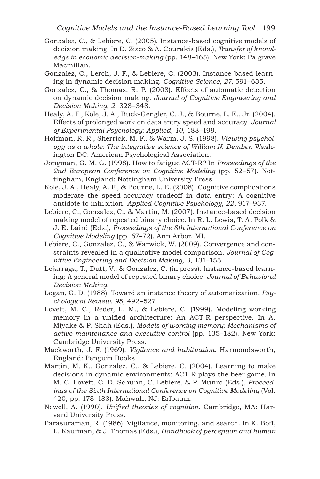- Gonzalez, C., & Lebiere, C. (2005). Instance-based cognitive models of decision making. In D. Zizzo & A. Courakis (Eds.), *Transfer of knowledge in economic decision-making* (pp. 148–165). New York: Palgrave Macmillan.
- Gonzalez, C., Lerch, J. F., & Lebiere, C. (2003). Instance-based learning in dynamic decision making. *Cognitive Science, 27*, 591–635.
- Gonzalez, C., & Thomas, R. P. (2008). Effects of automatic detection on dynamic decision making. *Journal of Cognitive Engineering and Decision Making, 2*, 328–348.
- Healy, A. F., Kole, J. A., Buck-Gengler, C. J., & Bourne, L. E., Jr. (2004). Effects of prolonged work on data entry speed and accuracy. *Journal of Experimental Psychology: Applied, 10*, 188–199.
- Hoffman, R. R., Sherrick, M. F., & Warm, J. S. (1998). *Viewing psychology as a whole: The integrative science of William N. Dember*. Washington DC: American Psychological Association.
- Jongman, G. M. G. (1998). How to fatigue ACT-R? In *Proceedings of the 2nd European Conference on Cognitive Modeling* (pp. 52–57). Nottingham, England: Nottingham University Press.
- Kole, J. A., Healy, A. F., & Bourne, L. E. (2008). Cognitive complications moderate the speed-accuracy tradeoff in data entry: A cognitive antidote to inhibition. *Applied Cognitive Psychology, 22*, 917–937.
- Lebiere, C., Gonzalez, C., & Martin, M. (2007). Instance-based decision making model of repeated binary choice*.* In R. L. Lewis, T. A. Polk & J. E. Laird (Eds.), *Proceedings of the 8th International Conference on Cognitive Modeling* (pp. 67–72). Ann Arbor, MI.
- Lebiere, C., Gonzalez, C., & Warwick, W. (2009). Convergence and constraints revealed in a qualitative model comparison. *Journal of Cognitive Engineering and Decision Making, 3*, 131–155.
- Lejarraga, T., Dutt, V., & Gonzalez, C. (in press). Instance-based learning: A general model of repeated binary choice. *Journal of Behavioral Decision Making*.
- Logan, G. D. (1988). Toward an instance theory of automatization. *Psychological Review, 95*, 492–527.
- Lovett, M. C., Reder, L. M., & Lebiere, C. (1999). Modeling working memory in a unified architecture: An ACT-R perspective. In A. Miyake & P. Shah (Eds.), *Models of working memory: Mechanisms of active maintenance and executive control* (pp. 135–182). New York: Cambridge University Press.
- Mackworth, J. F. (1969). *Vigilance and habituation*. Harmondsworth, England: Penguin Books.
- Martin, M. K., Gonzalez, C., & Lebiere, C. (2004). Learning to make decisions in dynamic environments: ACT-R plays the beer game*.* In M. C. Lovett, C. D. Schunn, C. Lebiere, & P. Munro (Eds.), *Proceedings of the Sixth International Conference on Cognitive Modeling* (Vol. 420, pp. 178–183). Mahwah, NJ: Erlbaum.
- Newell, A. (1990). *Unified theories of cognition*. Cambridge, MA: Harvard University Press.
- Parasuraman, R. (1986). Vigilance, monitoring, and search. In K. Boff, L. Kaufman, & J. Thomas (Eds.), *Handbook of perception and human*